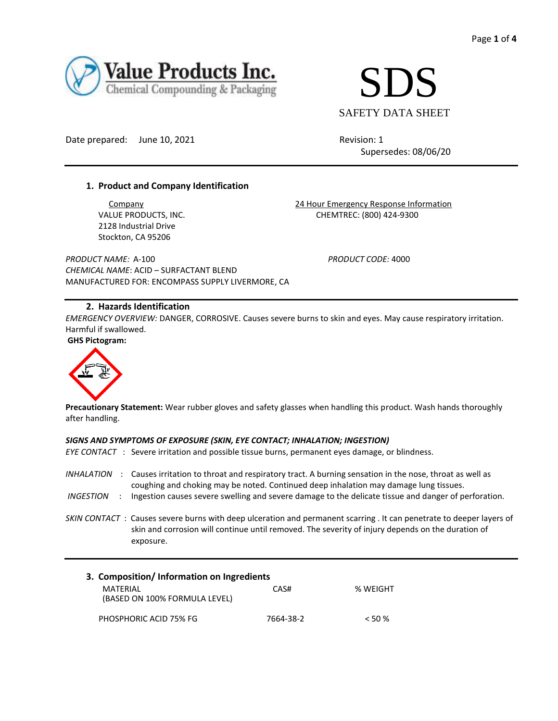



Date prepared: June 10, 2021 Revision: 1

Supersedes: 08/06/20

# **1. Product and Company Identification**

2128 Industrial Drive Stockton, CA 95206

**Company 24 Hour Emergency Response Information** VALUE PRODUCTS, INC. THE CHEMTREC: (800) 424-9300

*PRODUCT NAME:* A-100 *PRODUCT CODE:* 4000 *CHEMICAL NAME*: ACID – SURFACTANT BLEND MANUFACTURED FOR: ENCOMPASS SUPPLY LIVERMORE, CA

# **2. Hazards Identification**

*EMERGENCY OVERVIEW:* DANGER, CORROSIVE. Causes severe burns to skin and eyes. May cause respiratory irritation. Harmful if swallowed. **GHS Pictogram:** 



**Precautionary Statement:** Wear rubber gloves and safety glasses when handling this product. Wash hands thoroughly after handling.

### *SIGNS AND SYMPTOMS OF EXPOSURE (SKIN, EYE CONTACT; INHALATION; INGESTION)*

|                          | EYE CONTACT: Severe irritation and possible tissue burns, permanent eves damage, or blindness.                                                                                                                                        |
|--------------------------|---------------------------------------------------------------------------------------------------------------------------------------------------------------------------------------------------------------------------------------|
| <i><b>INHALATION</b></i> | Causes irritation to throat and respiratory tract. A burning sensation in the nose, throat as well as<br>coughing and choking may be noted. Continued deep inhalation may damage lung tissues.                                        |
| INGESTION                | Ingestion causes severe swelling and severe damage to the delicate tissue and danger of perforation.                                                                                                                                  |
|                          | SKIN CONTACT: Causes severe burns with deep ulceration and permanent scarring. It can penetrate to deeper layers of<br>skin and corrosion will continue until removed. The severity of injury depends on the duration of<br>exposure. |

| 3. Composition/Information on Ingredients |           |          |  |  |  |  |  |
|-------------------------------------------|-----------|----------|--|--|--|--|--|
| MATFRIAI<br>(BASED ON 100% FORMULA LEVEL) | CAS#      | % WEIGHT |  |  |  |  |  |
| PHOSPHORIC ACID 75% FG                    | 7664-38-2 | $<$ 50 % |  |  |  |  |  |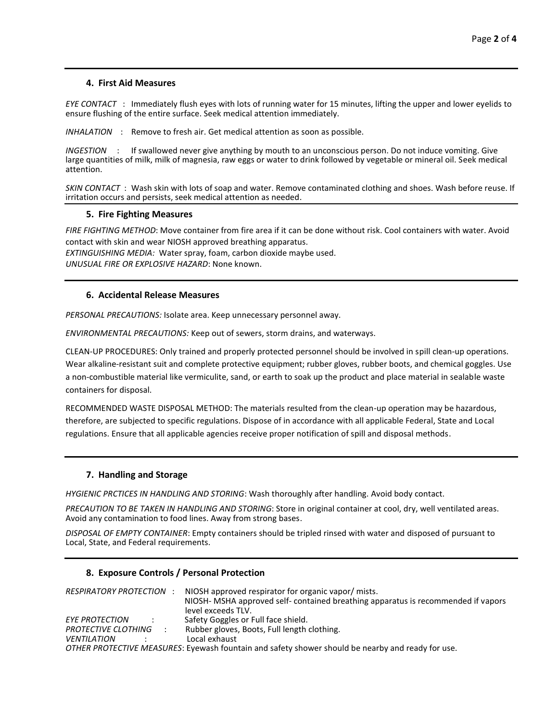## **4. First Aid Measures**

*EYE CONTACT* : Immediately flush eyes with lots of running water for 15 minutes, lifting the upper and lower eyelids to ensure flushing of the entire surface. Seek medical attention immediately.

*INHALATION* : Remove to fresh air. Get medical attention as soon as possible.

*INGESTION* : If swallowed never give anything by mouth to an unconscious person. Do not induce vomiting. Give large quantities of milk, milk of magnesia, raw eggs or water to drink followed by vegetable or mineral oil. Seek medical attention.

*SKIN CONTACT* : Wash skin with lots of soap and water. Remove contaminated clothing and shoes. Wash before reuse. If irritation occurs and persists, seek medical attention as needed.

## **5. Fire Fighting Measures**

*FIRE FIGHTING METHOD*: Move container from fire area if it can be done without risk. Cool containers with water. Avoid contact with skin and wear NIOSH approved breathing apparatus.

*EXTINGUISHING MEDIA:* Water spray, foam, carbon dioxide maybe used. *UNUSUAL FIRE OR EXPLOSIVE HAZARD*: None known.

## **6. Accidental Release Measures**

*PERSONAL PRECAUTIONS:* Isolate area. Keep unnecessary personnel away.

*ENVIRONMENTAL PRECAUTIONS:* Keep out of sewers, storm drains, and waterways.

CLEAN-UP PROCEDURES: Only trained and properly protected personnel should be involved in spill clean-up operations. Wear alkaline-resistant suit and complete protective equipment; rubber gloves, rubber boots, and chemical goggles. Use a non-combustible material like vermiculite, sand, or earth to soak up the product and place material in sealable waste containers for disposal.

RECOMMENDED WASTE DISPOSAL METHOD: The materials resulted from the clean-up operation may be hazardous, therefore, are subjected to specific regulations. Dispose of in accordance with all applicable Federal, State and Local regulations. Ensure that all applicable agencies receive proper notification of spill and disposal methods.

#### **7. Handling and Storage**

*HYGIENIC PRCTICES IN HANDLING AND STORING*: Wash thoroughly after handling. Avoid body contact.

*PRECAUTION TO BE TAKEN IN HANDLING AND STORING*: Store in original container at cool, dry, well ventilated areas. Avoid any contamination to food lines. Away from strong bases.

*DISPOSAL OF EMPTY CONTAINER*: Empty containers should be tripled rinsed with water and disposed of pursuant to Local, State, and Federal requirements.

## **8. Exposure Controls / Personal Protection**

| <b>RESPIRATORY PROTECTION</b> | NIOSH approved respirator for organic vapor/mists.                                                |  |  |
|-------------------------------|---------------------------------------------------------------------------------------------------|--|--|
|                               | NIOSH- MSHA approved self-contained breathing apparatus is recommended if vapors                  |  |  |
|                               | level exceeds TLV.                                                                                |  |  |
| <b>EYE PROTECTION</b>         | Safety Goggles or Full face shield.                                                               |  |  |
| PROTECTIVE CLOTHING           | Rubber gloves, Boots, Full length clothing.                                                       |  |  |
| <b>VENTILATION</b>            | Local exhaust                                                                                     |  |  |
|                               | OTHER PROTECTIVE MEASURES: Eyewash fountain and safety shower should be nearby and ready for use. |  |  |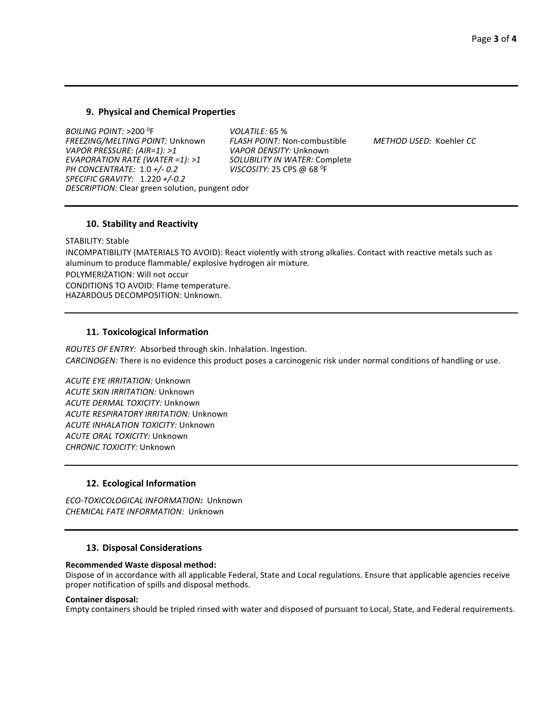## **9. Physical and Chemical Properties**

*BOILING POINT:* >200 <sup>0</sup> F *VOLATILE:* 65 % *FREEZING/MELTING POINT:* Unknown *FLASH POINT:* Non-combustible *METHOD USED:* Koehler *CC VAPOR PRESSURE: (AIR=1): >1 VAPOR DENSITY:* Unknown *EVAPORATION RATE (WATER =1): >1 SOLUBILITY IN WATER:* Complete *PH CONCENTRATE:* 1.0  $+/$ - 0.2 VISCOSITY: 25 CPS @ 68 <sup>0</sup>F *SPECIFIC GRAVITY:* 1.220 *+/-0.2 DESCRIPTION:* Clear green solution, pungent odor

#### **10. Stability and Reactivity**

STABILITY: Stable INCOMPATIBILITY (MATERIALS TO AVOID): React violently with strong alkalies. Contact with reactive metals such as aluminum to produce flammable/ explosive hydrogen air mixture. POLYMERIZATION: Will not occur CONDITIONS TO AVOID: Flame temperature. HAZARDOUS DECOMPOSITION: Unknown.

## **11. Toxicological Information**

*ROUTES OF ENTRY:* Absorbed through skin. Inhalation. Ingestion. *CARCINOGEN:* There is no evidence this product poses a carcinogenic risk under normal conditions of handling or use.

*ACUTE EYE IRRITATION:* Unknown *ACUTE SKIN IRRITATION:* Unknown *ACUTE DERMAL TOXICITY:* Unknown *ACUTE RESPIRATORY IRRITATION:* Unknown *ACUTE INHALATION TOXICITY:* Unknown *ACUTE ORAL TOXICITY:* Unknown *CHRONIC TOXICITY:* Unknown

## **12. Ecological Information**

*ECO-TOXICOLOGICAL INFORMATION:*Unknown *CHEMICAL FATE INFORMATION:* Unknown

#### **13. Disposal Considerations**

#### **Recommended Waste disposal method:**

Dispose of in accordance with all applicable Federal, State and Local regulations. Ensure that applicable agencies receive proper notification of spills and disposal methods.

#### **Container disposal:**

Empty containers should be tripled rinsed with water and disposed of pursuant to Local, State, and Federal requirements.